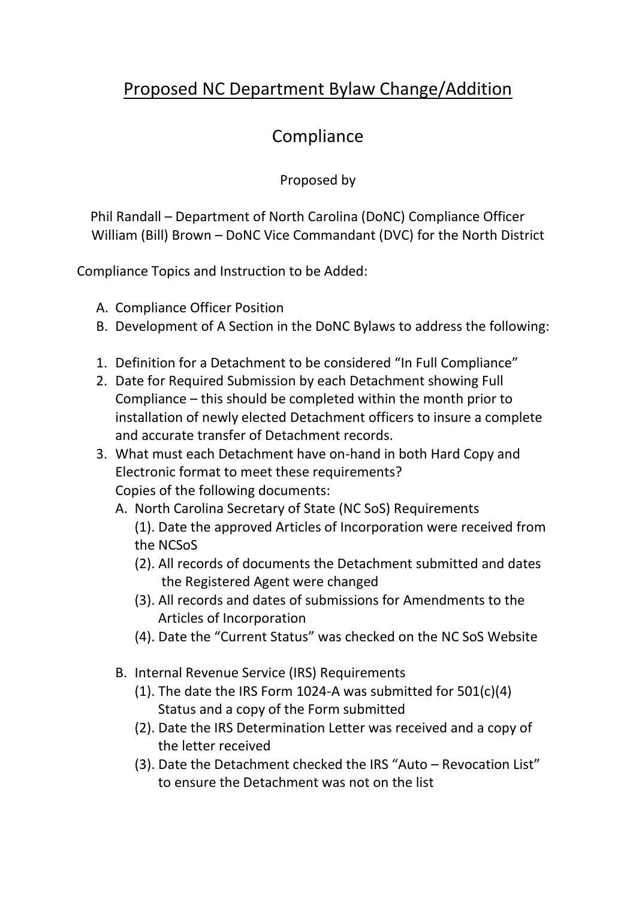## Proposed NC Department Bylaw Change/Addition

## Compliance

## Proposed by

 Phil Randall – Department of North Carolina (DoNC) Compliance Officer William (Bill) Brown – DoNC Vice Commandant (DVC) for the North District

Compliance Topics and Instruction to be Added:

- A. Compliance Officer Position
- B. Development of A Section in the DoNC Bylaws to address the following:
- 1. Definition for a Detachment to be considered "In Full Compliance"
- 2. Date for Required Submission by each Detachment showing Full Compliance – this should be completed within the month prior to installation of newly elected Detachment officers to insure a complete and accurate transfer of Detachment records.
- 3. What must each Detachment have on-hand in both Hard Copy and Electronic format to meet these requirements? Copies of the following documents:
	- A. North Carolina Secretary of State (NC SoS) Requirements
		- (1). Date the approved Articles of Incorporation were received from the NCSoS
		- (2). All records of documents the Detachment submitted and dates the Registered Agent were changed
		- (3). All records and dates of submissions for Amendments to the Articles of Incorporation
		- (4). Date the "Current Status" was checked on the NC SoS Website
	- B. Internal Revenue Service (IRS) Requirements
		- (1). The date the IRS Form 1024-A was submitted for 501(c)(4) Status and a copy of the Form submitted
		- (2). Date the IRS Determination Letter was received and a copy of the letter received
		- (3). Date the Detachment checked the IRS "Auto Revocation List" to ensure the Detachment was not on the list